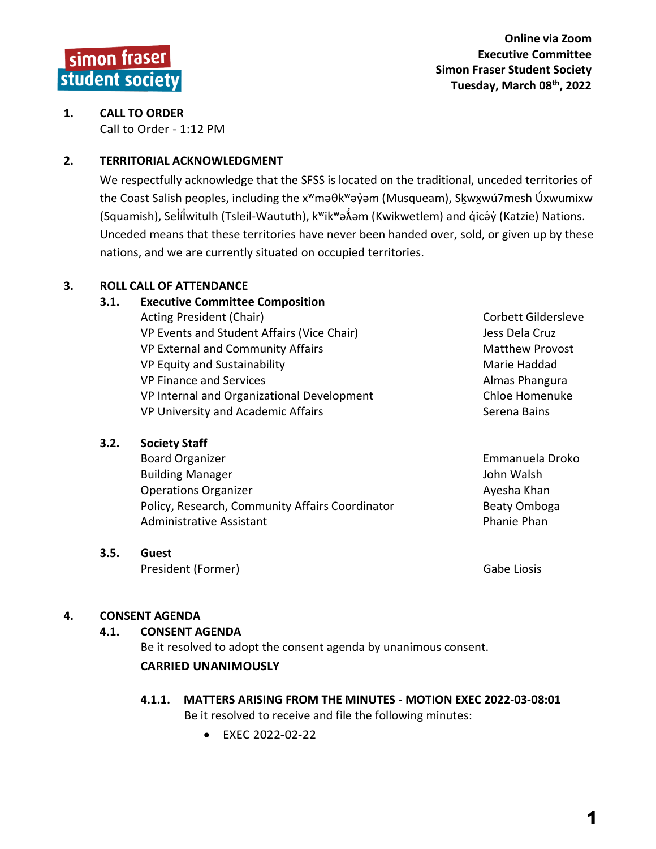## **1. CALL TO ORDER** Call to Order - 1:12 PM

## **2. TERRITORIAL ACKNOWLEDGMENT**

We respectfully acknowledge that the SFSS is located on the traditional, unceded territories of the Coast Salish peoples, including the x<sup>w</sup>məθk<sup>w</sup>əy̓əm (Musqueam), Skૄwx̣wú7mesh Úxwumixw (Squamish), Selílwitulh (Tsleil-Waututh), k<sup>w</sup>ik<sup>w</sup>ə $\hat{x}$ əm (Kwikwetlem) and qıcav (Katzie) Nations. Unceded means that these territories have never been handed over, sold, or given up by these nations, and we are currently situated on occupied territories.

# **3. ROLL CALL OF ATTENDANCE**

### **3.1. Executive Committee Composition**

| Acting President (Chair)                   | Corbett Gildersleve    |
|--------------------------------------------|------------------------|
| VP Events and Student Affairs (Vice Chair) | Jess Dela Cruz         |
| VP External and Community Affairs          | <b>Matthew Provost</b> |
| VP Equity and Sustainability               | Marie Haddad           |
| VP Finance and Services                    | Almas Phangura         |
| VP Internal and Organizational Development | Chloe Homenuke         |
| VP University and Academic Affairs         | Serena Bains           |
|                                            |                        |

## **3.2. Society Staff**

Board Organizer **Emmanuela Droko** Building Manager **John Walsh** Operations Organizer **Ayes Ayesha Khan** Policy, Research, Community Affairs Coordinator **Beaty Omboga** Administrative Assistant **Phanie Phanie Phanie Phanie Phanie Phanie Phanie Phanie Phanie Phanie Phanie Phanie Phan** 

## **3.5. Guest**

President (Former) and Cabe Liosis Gabe Liosis

## **4. CONSENT AGENDA**

## **4.1. CONSENT AGENDA**

Be it resolved to adopt the consent agenda by unanimous consent.

# **CARRIED UNANIMOUSLY**

## **4.1.1. MATTERS ARISING FROM THE MINUTES - MOTION EXEC 2022-03-08:01** Be it resolved to receive and file the following minutes:

• EXEC 2022-02-22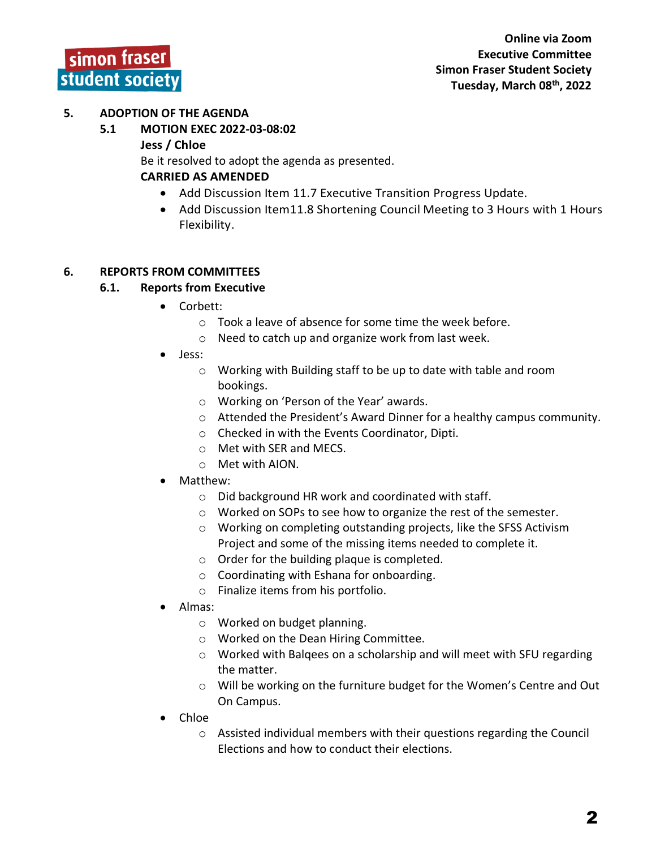## **5. ADOPTION OF THE AGENDA**

**5.1 MOTION EXEC 2022-03-08:02**

#### **Jess / Chloe**

Be it resolved to adopt the agenda as presented.

## **CARRIED AS AMENDED**

- Add Discussion Item 11.7 Executive Transition Progress Update.
- Add Discussion Item11.8 Shortening Council Meeting to 3 Hours with 1 Hours Flexibility.

### **6. REPORTS FROM COMMITTEES**

## **6.1. Reports from Executive**

- Corbett:
	- $\circ$  Took a leave of absence for some time the week before.
	- o Need to catch up and organize work from last week.
- Jess:
	- o Working with Building staff to be up to date with table and room bookings.
	- o Working on 'Person of the Year' awards.
	- o Attended the President's Award Dinner for a healthy campus community.
	- o Checked in with the Events Coordinator, Dipti.
	- o Met with SER and MECS.
	- o Met with AION.
- Matthew:
	- o Did background HR work and coordinated with staff.
	- o Worked on SOPs to see how to organize the rest of the semester.
	- o Working on completing outstanding projects, like the SFSS Activism Project and some of the missing items needed to complete it.
	- o Order for the building plaque is completed.
	- o Coordinating with Eshana for onboarding.
	- o Finalize items from his portfolio.
- Almas:
	- o Worked on budget planning.
	- o Worked on the Dean Hiring Committee.
	- o Worked with Balqees on a scholarship and will meet with SFU regarding the matter.
	- o Will be working on the furniture budget for the Women's Centre and Out On Campus.
- Chloe
	- $\circ$  Assisted individual members with their questions regarding the Council Elections and how to conduct their elections.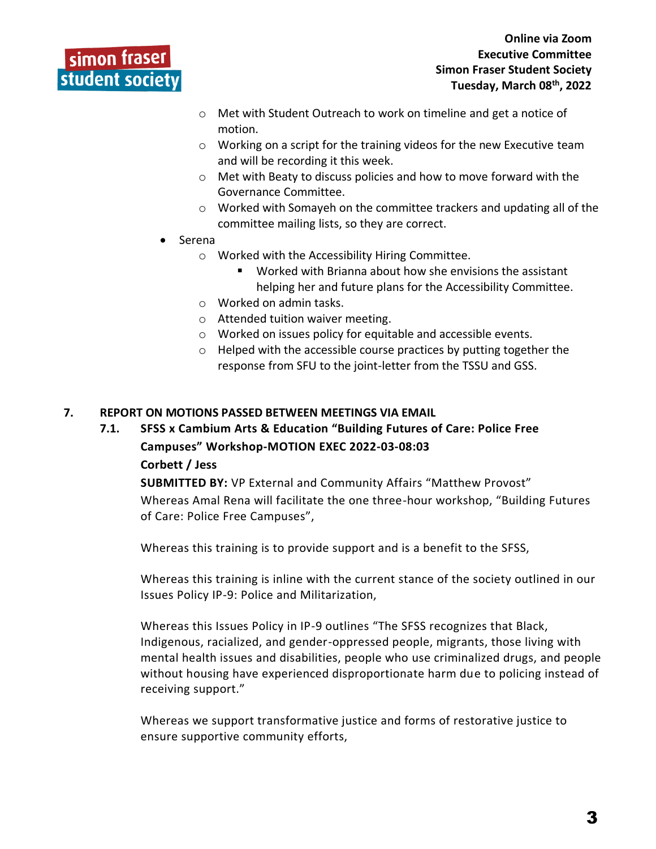# simon fraser student society

- o Met with Student Outreach to work on timeline and get a notice of motion.
- o Working on a script for the training videos for the new Executive team and will be recording it this week.
- o Met with Beaty to discuss policies and how to move forward with the Governance Committee.
- o Worked with Somayeh on the committee trackers and updating all of the committee mailing lists, so they are correct.
- Serena
	- o Worked with the Accessibility Hiring Committee.
		- Worked with Brianna about how she envisions the assistant helping her and future plans for the Accessibility Committee.
	- o Worked on admin tasks.
	- o Attended tuition waiver meeting.
	- o Worked on issues policy for equitable and accessible events.
	- o Helped with the accessible course practices by putting together the response from SFU to the joint-letter from the TSSU and GSS.

### **7. REPORT ON MOTIONS PASSED BETWEEN MEETINGS VIA EMAIL**

# **7.1. SFSS x Cambium Arts & Education "Building Futures of Care: Police Free Campuses" Workshop-MOTION EXEC 2022-03-08:03 Corbett / Jess**

**SUBMITTED BY:** VP External and Community Affairs "Matthew Provost" Whereas Amal Rena will facilitate the one three-hour workshop, "Building Futures of Care: Police Free Campuses",

Whereas this training is to provide support and is a benefit to the SFSS,

Whereas this training is inline with the current stance of the society outlined in our Issues Policy IP-9: Police and Militarization,

Whereas this Issues Policy in IP-9 outlines "The SFSS recognizes that Black, Indigenous, racialized, and gender-oppressed people, migrants, those living with mental health issues and disabilities, people who use criminalized drugs, and people without housing have experienced disproportionate harm due to policing instead of receiving support."

Whereas we support transformative justice and forms of restorative justice to ensure supportive community efforts,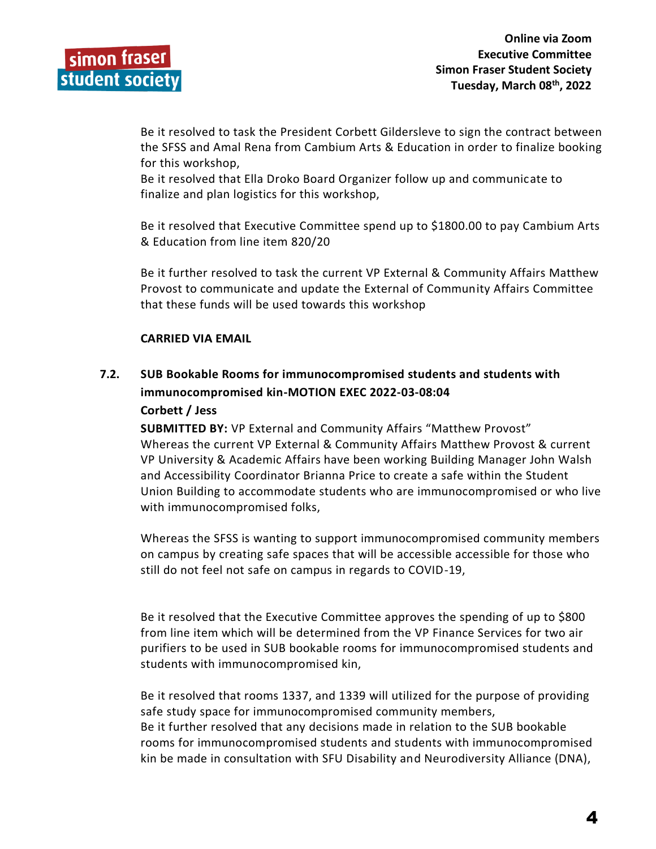Be it resolved to task the President Corbett Gildersleve to sign the contract between the SFSS and Amal Rena from Cambium Arts & Education in order to finalize booking for this workshop,

Be it resolved that Ella Droko Board Organizer follow up and communicate to finalize and plan logistics for this workshop,

Be it resolved that Executive Committee spend up to \$1800.00 to pay Cambium Arts & Education from line item 820/20

Be it further resolved to task the current VP External & Community Affairs Matthew Provost to communicate and update the External of Community Affairs Committee that these funds will be used towards this workshop

## **CARRIED VIA EMAIL**

# **7.2. SUB Bookable Rooms for immunocompromised students and students with immunocompromised kin-MOTION EXEC 2022-03-08:04**

### **Corbett / Jess**

**SUBMITTED BY:** VP External and Community Affairs "Matthew Provost" Whereas the current VP External & Community Affairs Matthew Provost & current VP University & Academic Affairs have been working Building Manager John Walsh and Accessibility Coordinator Brianna Price to create a safe within the Student Union Building to accommodate students who are immunocompromised or who live with immunocompromised folks,

Whereas the SFSS is wanting to support immunocompromised community members on campus by creating safe spaces that will be accessible accessible for those who still do not feel not safe on campus in regards to COVID-19,

Be it resolved that the Executive Committee approves the spending of up to \$800 from line item which will be determined from the VP Finance Services for two air purifiers to be used in SUB bookable rooms for immunocompromised students and students with immunocompromised kin,

Be it resolved that rooms 1337, and 1339 will utilized for the purpose of providing safe study space for immunocompromised community members, Be it further resolved that any decisions made in relation to the SUB bookable rooms for immunocompromised students and students with immunocompromised kin be made in consultation with SFU Disability and Neurodiversity Alliance (DNA),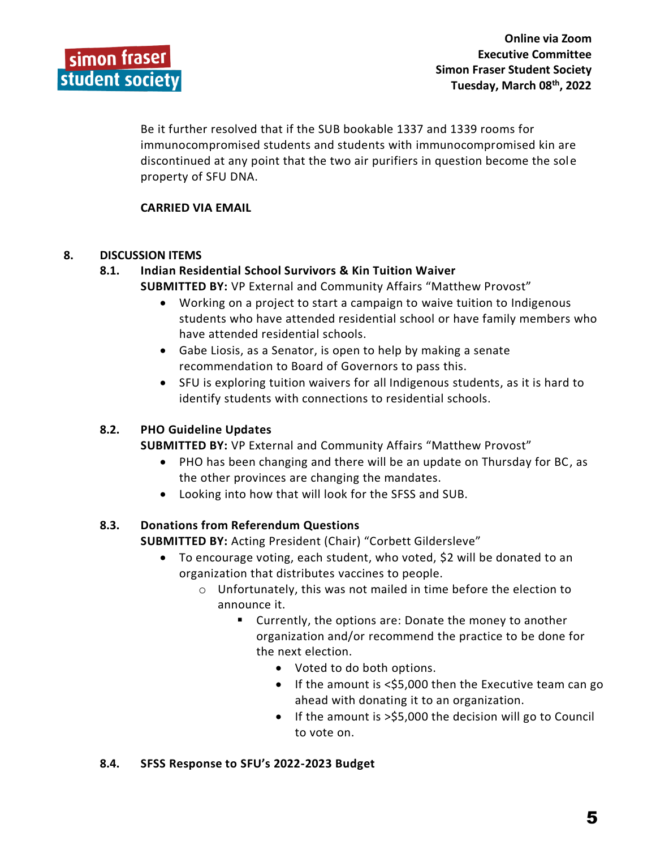Be it further resolved that if the SUB bookable 1337 and 1339 rooms for immunocompromised students and students with immunocompromised kin are discontinued at any point that the two air purifiers in question become the sole property of SFU DNA.

## **CARRIED VIA EMAIL**

## **8. DISCUSSION ITEMS**

# **8.1. Indian Residential School Survivors & Kin Tuition Waiver**

- **SUBMITTED BY:** VP External and Community Affairs "Matthew Provost"
	- Working on a project to start a campaign to waive tuition to Indigenous students who have attended residential school or have family members who have attended residential schools.
	- Gabe Liosis, as a Senator, is open to help by making a senate recommendation to Board of Governors to pass this.
	- SFU is exploring tuition waivers for all Indigenous students, as it is hard to identify students with connections to residential schools.

## **8.2. PHO Guideline Updates**

**SUBMITTED BY:** VP External and Community Affairs "Matthew Provost"

- PHO has been changing and there will be an update on Thursday for BC, as the other provinces are changing the mandates.
- Looking into how that will look for the SFSS and SUB.

## **8.3. Donations from Referendum Questions**

**SUBMITTED BY:** Acting President (Chair) "Corbett Gildersleve"

- To encourage voting, each student, who voted, \$2 will be donated to an organization that distributes vaccines to people.
	- o Unfortunately, this was not mailed in time before the election to announce it.
		- Currently, the options are: Donate the money to another organization and/or recommend the practice to be done for the next election.
			- Voted to do both options.
			- If the amount is <\$5,000 then the Executive team can go ahead with donating it to an organization.
			- If the amount is >\$5,000 the decision will go to Council to vote on.

## **8.4. SFSS Response to SFU's 2022-2023 Budget**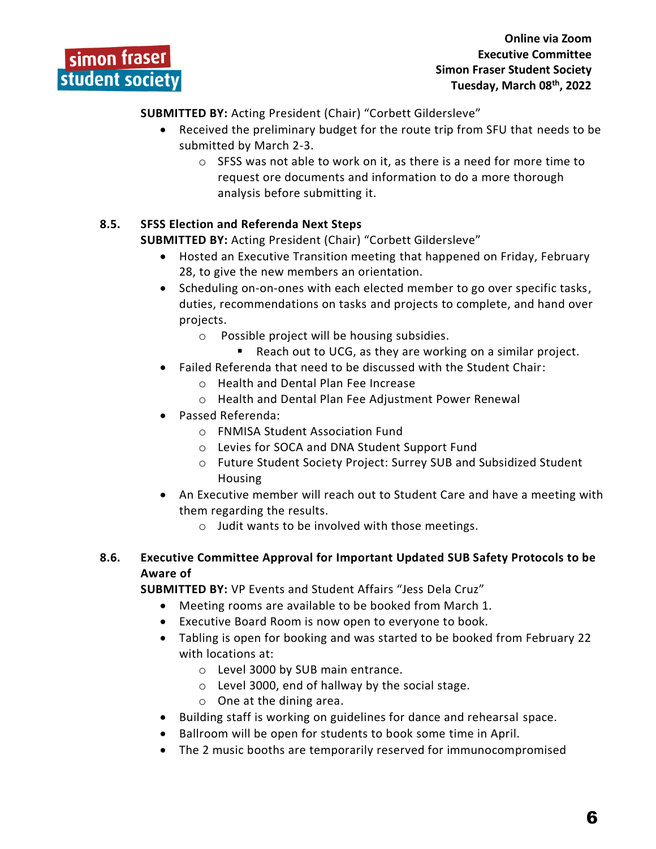**SUBMITTED BY:** Acting President (Chair) "Corbett Gildersleve"

- Received the preliminary budget for the route trip from SFU that needs to be submitted by March 2-3.
	- o SFSS was not able to work on it, as there is a need for more time to request ore documents and information to do a more thorough analysis before submitting it.

# **8.5. SFSS Election and Referenda Next Steps**

**SUBMITTED BY:** Acting President (Chair) "Corbett Gildersleve"

- Hosted an Executive Transition meeting that happened on Friday, February 28, to give the new members an orientation.
- Scheduling on-on-ones with each elected member to go over specific tasks, duties, recommendations on tasks and projects to complete, and hand over projects.
	- o Possible project will be housing subsidies.
	- Reach out to UCG, as they are working on a similar project.
- Failed Referenda that need to be discussed with the Student Chair:
	- o Health and Dental Plan Fee Increase
	- o Health and Dental Plan Fee Adjustment Power Renewal
- Passed Referenda:
	- o FNMISA Student Association Fund
	- o Levies for SOCA and DNA Student Support Fund
	- o Future Student Society Project: Surrey SUB and Subsidized Student Housing
- An Executive member will reach out to Student Care and have a meeting with them regarding the results.
	- $\circ$  Judit wants to be involved with those meetings.

# **8.6. Executive Committee Approval for Important Updated SUB Safety Protocols to be Aware of**

**SUBMITTED BY:** VP Events and Student Affairs "Jess Dela Cruz"

- Meeting rooms are available to be booked from March 1.
- Executive Board Room is now open to everyone to book.
- Tabling is open for booking and was started to be booked from February 22 with locations at:
	- o Level 3000 by SUB main entrance.
	- o Level 3000, end of hallway by the social stage.
	- o One at the dining area.
- Building staff is working on guidelines for dance and rehearsal space.
- Ballroom will be open for students to book some time in April.
- The 2 music booths are temporarily reserved for immunocompromised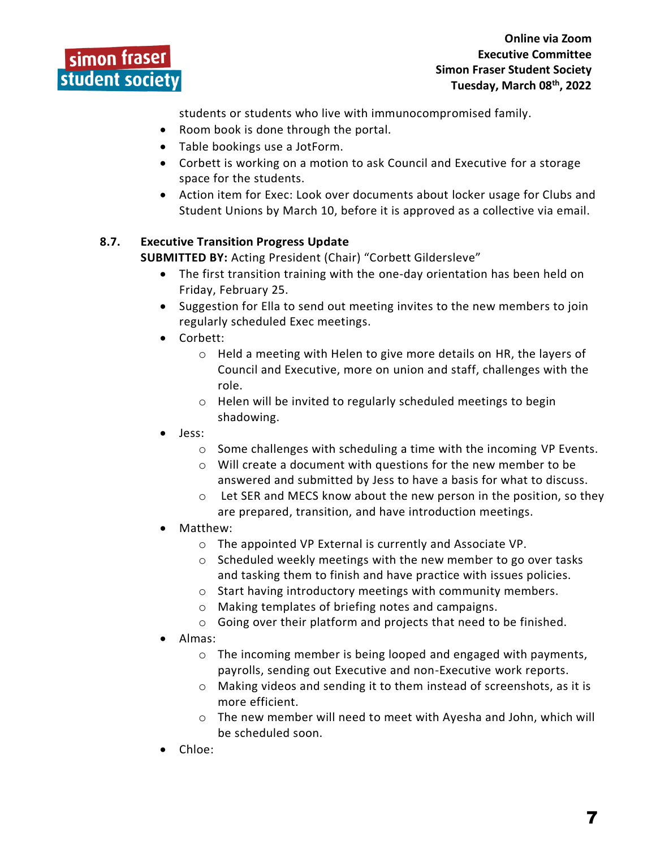students or students who live with immunocompromised family.

- Room book is done through the portal.
- Table bookings use a JotForm.
- Corbett is working on a motion to ask Council and Executive for a storage space for the students.
- Action item for Exec: Look over documents about locker usage for Clubs and Student Unions by March 10, before it is approved as a collective via email.

# **8.7. Executive Transition Progress Update**

**SUBMITTED BY:** Acting President (Chair) "Corbett Gildersleve"

- The first transition training with the one-day orientation has been held on Friday, February 25.
- Suggestion for Ella to send out meeting invites to the new members to join regularly scheduled Exec meetings.
- Corbett:
	- o Held a meeting with Helen to give more details on HR, the layers of Council and Executive, more on union and staff, challenges with the role.
	- o Helen will be invited to regularly scheduled meetings to begin shadowing.
- Jess:
	- o Some challenges with scheduling a time with the incoming VP Events.
	- o Will create a document with questions for the new member to be answered and submitted by Jess to have a basis for what to discuss.
	- $\circ$  Let SER and MECS know about the new person in the position, so they are prepared, transition, and have introduction meetings.
- Matthew:
	- o The appointed VP External is currently and Associate VP.
	- o Scheduled weekly meetings with the new member to go over tasks and tasking them to finish and have practice with issues policies.
	- o Start having introductory meetings with community members.
	- o Making templates of briefing notes and campaigns.
	- o Going over their platform and projects that need to be finished.
- Almas:
	- o The incoming member is being looped and engaged with payments, payrolls, sending out Executive and non-Executive work reports.
	- $\circ$  Making videos and sending it to them instead of screenshots, as it is more efficient.
	- o The new member will need to meet with Ayesha and John, which will be scheduled soon.
- Chloe: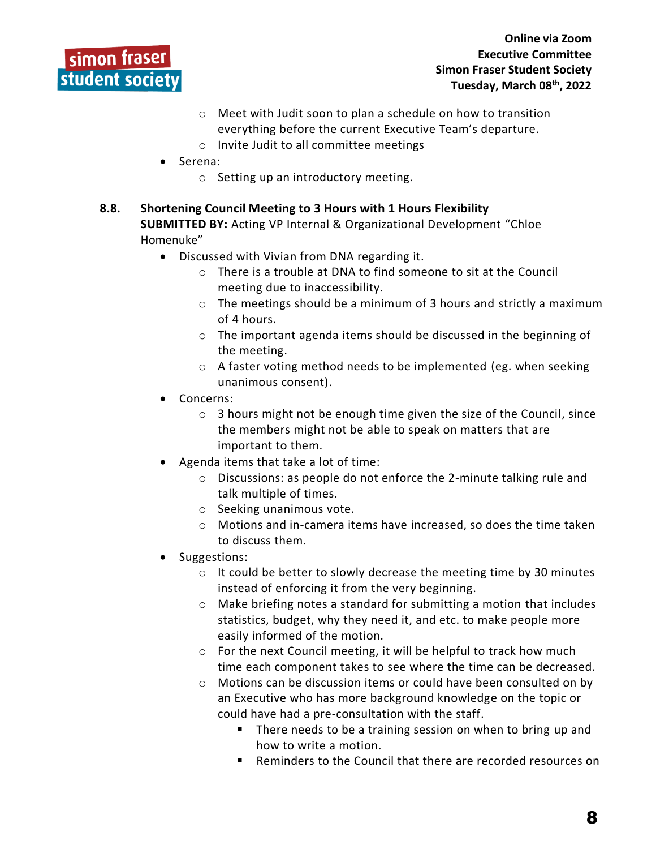# simon fraser student society

- o Meet with Judit soon to plan a schedule on how to transition everything before the current Executive Team's departure.
- o Invite Judit to all committee meetings
- Serena:
	- o Setting up an introductory meeting.
- **8.8. Shortening Council Meeting to 3 Hours with 1 Hours Flexibility SUBMITTED BY:** Acting VP Internal & Organizational Development "Chloe Homenuke"
	- Discussed with Vivian from DNA regarding it.
		- o There is a trouble at DNA to find someone to sit at the Council meeting due to inaccessibility.
		- $\circ$  The meetings should be a minimum of 3 hours and strictly a maximum of 4 hours.
		- o The important agenda items should be discussed in the beginning of the meeting.
		- o A faster voting method needs to be implemented (eg. when seeking unanimous consent).
	- Concerns:
		- $\circ$  3 hours might not be enough time given the size of the Council, since the members might not be able to speak on matters that are important to them.
	- Agenda items that take a lot of time:
		- o Discussions: as people do not enforce the 2-minute talking rule and talk multiple of times.
		- o Seeking unanimous vote.
		- o Motions and in-camera items have increased, so does the time taken to discuss them.
	- Suggestions:
		- o It could be better to slowly decrease the meeting time by 30 minutes instead of enforcing it from the very beginning.
		- $\circ$  Make briefing notes a standard for submitting a motion that includes statistics, budget, why they need it, and etc. to make people more easily informed of the motion.
		- o For the next Council meeting, it will be helpful to track how much time each component takes to see where the time can be decreased.
		- o Motions can be discussion items or could have been consulted on by an Executive who has more background knowledge on the topic or could have had a pre-consultation with the staff.
			- There needs to be a training session on when to bring up and how to write a motion.
			- Reminders to the Council that there are recorded resources on